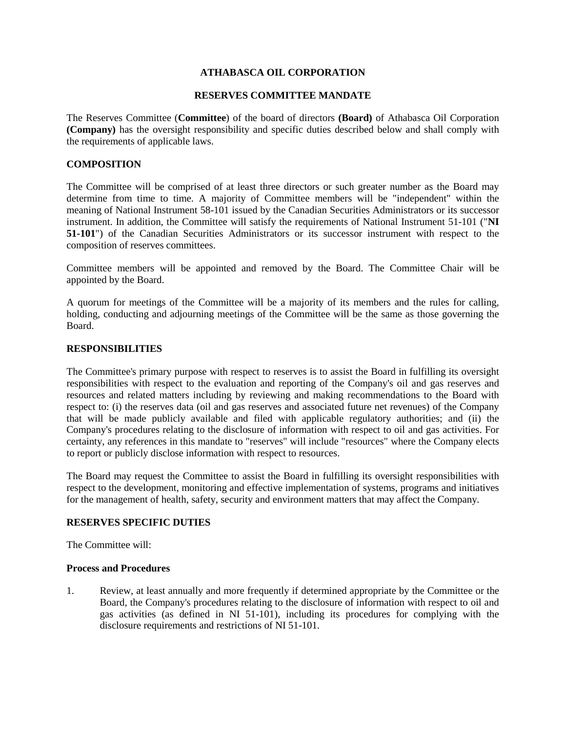## **ATHABASCA OIL CORPORATION**

#### **RESERVES COMMITTEE MANDATE**

The Reserves Committee (**Committee**) of the board of directors **(Board)** of Athabasca Oil Corporation **(Company)** has the oversight responsibility and specific duties described below and shall comply with the requirements of applicable laws.

### **COMPOSITION**

The Committee will be comprised of at least three directors or such greater number as the Board may determine from time to time. A majority of Committee members will be "independent" within the meaning of National Instrument 58-101 issued by the Canadian Securities Administrators or its successor instrument. In addition, the Committee will satisfy the requirements of National Instrument 51-101 ("**NI 51-101**") of the Canadian Securities Administrators or its successor instrument with respect to the composition of reserves committees.

Committee members will be appointed and removed by the Board. The Committee Chair will be appointed by the Board.

A quorum for meetings of the Committee will be a majority of its members and the rules for calling, holding, conducting and adjourning meetings of the Committee will be the same as those governing the Board.

### **RESPONSIBILITIES**

The Committee's primary purpose with respect to reserves is to assist the Board in fulfilling its oversight responsibilities with respect to the evaluation and reporting of the Company's oil and gas reserves and resources and related matters including by reviewing and making recommendations to the Board with respect to: (i) the reserves data (oil and gas reserves and associated future net revenues) of the Company that will be made publicly available and filed with applicable regulatory authorities; and (ii) the Company's procedures relating to the disclosure of information with respect to oil and gas activities. For certainty, any references in this mandate to "reserves" will include "resources" where the Company elects to report or publicly disclose information with respect to resources.

The Board may request the Committee to assist the Board in fulfilling its oversight responsibilities with respect to the development, monitoring and effective implementation of systems, programs and initiatives for the management of health, safety, security and environment matters that may affect the Company.

#### **RESERVES SPECIFIC DUTIES**

The Committee will:

#### **Process and Procedures**

1. Review, at least annually and more frequently if determined appropriate by the Committee or the Board, the Company's procedures relating to the disclosure of information with respect to oil and gas activities (as defined in NI 51-101), including its procedures for complying with the disclosure requirements and restrictions of NI 51-101.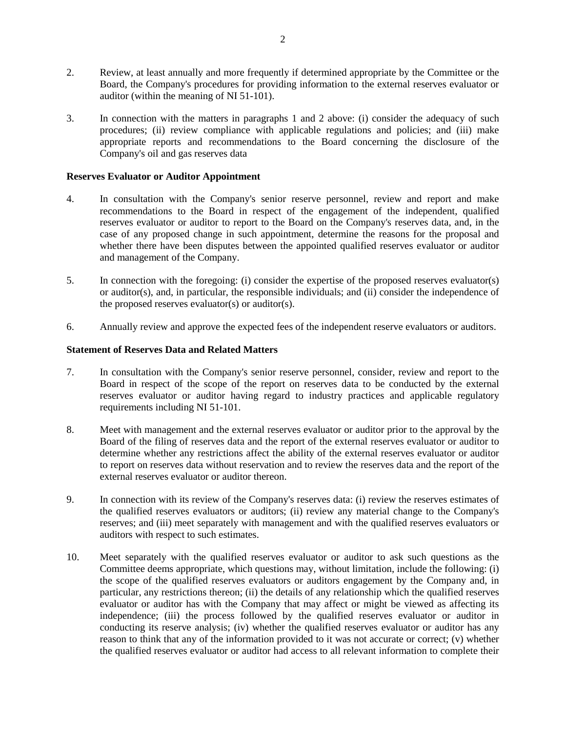- 2. Review, at least annually and more frequently if determined appropriate by the Committee or the Board, the Company's procedures for providing information to the external reserves evaluator or auditor (within the meaning of NI 51-101).
- 3. In connection with the matters in paragraphs 1 and 2 above: (i) consider the adequacy of such procedures; (ii) review compliance with applicable regulations and policies; and (iii) make appropriate reports and recommendations to the Board concerning the disclosure of the Company's oil and gas reserves data

## **Reserves Evaluator or Auditor Appointment**

- 4. In consultation with the Company's senior reserve personnel, review and report and make recommendations to the Board in respect of the engagement of the independent, qualified reserves evaluator or auditor to report to the Board on the Company's reserves data, and, in the case of any proposed change in such appointment, determine the reasons for the proposal and whether there have been disputes between the appointed qualified reserves evaluator or auditor and management of the Company.
- 5. In connection with the foregoing: (i) consider the expertise of the proposed reserves evaluator(s) or auditor(s), and, in particular, the responsible individuals; and (ii) consider the independence of the proposed reserves evaluator(s) or auditor(s).
- 6. Annually review and approve the expected fees of the independent reserve evaluators or auditors.

### **Statement of Reserves Data and Related Matters**

- 7. In consultation with the Company's senior reserve personnel, consider, review and report to the Board in respect of the scope of the report on reserves data to be conducted by the external reserves evaluator or auditor having regard to industry practices and applicable regulatory requirements including NI 51-101.
- 8. Meet with management and the external reserves evaluator or auditor prior to the approval by the Board of the filing of reserves data and the report of the external reserves evaluator or auditor to determine whether any restrictions affect the ability of the external reserves evaluator or auditor to report on reserves data without reservation and to review the reserves data and the report of the external reserves evaluator or auditor thereon.
- 9. In connection with its review of the Company's reserves data: (i) review the reserves estimates of the qualified reserves evaluators or auditors; (ii) review any material change to the Company's reserves; and (iii) meet separately with management and with the qualified reserves evaluators or auditors with respect to such estimates.
- 10. Meet separately with the qualified reserves evaluator or auditor to ask such questions as the Committee deems appropriate, which questions may, without limitation, include the following: (i) the scope of the qualified reserves evaluators or auditors engagement by the Company and, in particular, any restrictions thereon; (ii) the details of any relationship which the qualified reserves evaluator or auditor has with the Company that may affect or might be viewed as affecting its independence; (iii) the process followed by the qualified reserves evaluator or auditor in conducting its reserve analysis; (iv) whether the qualified reserves evaluator or auditor has any reason to think that any of the information provided to it was not accurate or correct; (v) whether the qualified reserves evaluator or auditor had access to all relevant information to complete their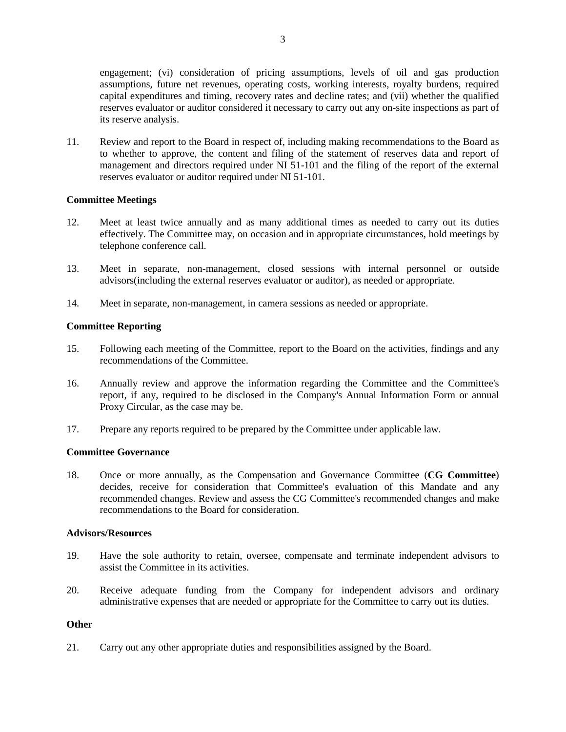engagement; (vi) consideration of pricing assumptions, levels of oil and gas production assumptions, future net revenues, operating costs, working interests, royalty burdens, required capital expenditures and timing, recovery rates and decline rates; and (vii) whether the qualified reserves evaluator or auditor considered it necessary to carry out any on-site inspections as part of its reserve analysis.

11. Review and report to the Board in respect of, including making recommendations to the Board as to whether to approve, the content and filing of the statement of reserves data and report of management and directors required under NI 51-101 and the filing of the report of the external reserves evaluator or auditor required under NI 51-101.

## **Committee Meetings**

- 12. Meet at least twice annually and as many additional times as needed to carry out its duties effectively. The Committee may, on occasion and in appropriate circumstances, hold meetings by telephone conference call.
- 13. Meet in separate, non-management, closed sessions with internal personnel or outside advisors(including the external reserves evaluator or auditor), as needed or appropriate.
- 14. Meet in separate, non-management, in camera sessions as needed or appropriate.

### **Committee Reporting**

- 15. Following each meeting of the Committee, report to the Board on the activities, findings and any recommendations of the Committee.
- 16. Annually review and approve the information regarding the Committee and the Committee's report, if any, required to be disclosed in the Company's Annual Information Form or annual Proxy Circular, as the case may be.
- 17. Prepare any reports required to be prepared by the Committee under applicable law.

### **Committee Governance**

18. Once or more annually, as the Compensation and Governance Committee (**CG Committee**) decides, receive for consideration that Committee's evaluation of this Mandate and any recommended changes. Review and assess the CG Committee's recommended changes and make recommendations to the Board for consideration.

# **Advisors/Resources**

- 19. Have the sole authority to retain, oversee, compensate and terminate independent advisors to assist the Committee in its activities.
- 20. Receive adequate funding from the Company for independent advisors and ordinary administrative expenses that are needed or appropriate for the Committee to carry out its duties.

### **Other**

21. Carry out any other appropriate duties and responsibilities assigned by the Board.